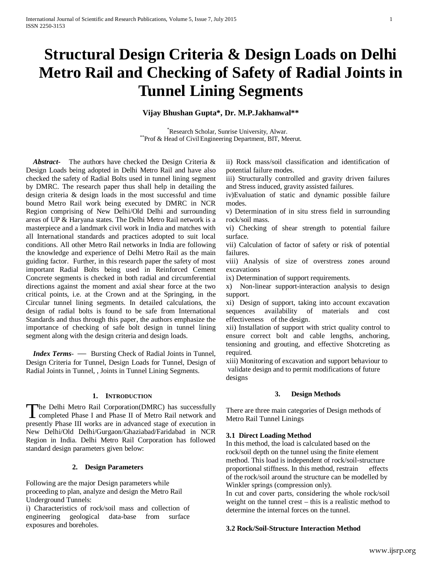# **Structural Design Criteria & Design Loads on Delhi Metro Rail and Checking of Safety of Radial Joints in Tunnel Lining Segments**

## **Vijay Bhushan Gupta\*, Dr. M.P.Jakhanwal\*\***

\*Research Scholar, Sunrise University, Alwar. \*\* Prof & Head of Civil Engineering Department, BIT, Meerut.

 *Abstract***-** The authors have checked the Design Criteria & Design Loads being adopted in Delhi Metro Rail and have also checked the safety of Radial Bolts used in tunnel lining segment by DMRC. The research paper thus shall help in detailing the design criteria & design loads in the most successful and time bound Metro Rail work being executed by DMRC in NCR Region comprising of New Delhi/Old Delhi and surrounding areas of UP & Haryana states. The Delhi Metro Rail network is a masterpiece and a landmark civil work in India and matches with all International standards and practices adopted to suit local conditions. All other Metro Rail networks in India are following the knowledge and experience of Delhi Metro Rail as the main guiding factor. Further, in this research paper the safety of most important Radial Bolts being used in Reinforced Cement Concrete segments is checked in both radial and circumferential directions against the moment and axial shear force at the two critical points, i.e. at the Crown and at the Springing, in the Circular tunnel lining segments. In detailed calculations, the design of radial bolts is found to be safe from International Standards and thus through this paper, the authors emphasize the importance of checking of safe bolt design in tunnel lining segment along with the design criteria and design loads.

 *Index Terms*- — Bursting Check of Radial Joints in Tunnel, Design Criteria for Tunnel, Design Loads for Tunnel, Design of Radial Joints in Tunnel, , Joints in Tunnel Lining Segments.

## **1. INTRODUCTION**

**The Delhi Metro Rail Corporation(DMRC) has successfully** The Delhi Metro Rail Corporation(DMRC) has successfully completed Phase I and Phase II of Metro Rail network and presently Phase III works are in advanced stage of execution in New Delhi/Old Delhi/Gurgaon/Ghaziabad/Faridabad in NCR Region in India. Delhi Metro Rail Corporation has followed standard design parameters given below:

#### **2. Design Parameters**

Following are the major Design parameters while proceeding to plan, analyze and design the Metro Rail Underground Tunnels:

i) Characteristics of rock/soil mass and collection of engineering geological data-base from surface exposures and boreholes.

ii) Rock mass/soil classification and identification of potential failure modes.

iii) Structurally controlled and gravity driven failures and Stress induced, gravity assisted failures.

iv)Evaluation of static and dynamic possible failure modes.

v) Determination of in situ stress field in surrounding rock/soil mass.

vi) Checking of shear strength to potential failure surface.

vii) Calculation of factor of safety or risk of potential failures.

viii) Analysis of size of overstress zones around excavations

ix) Determination of support requirements.

x) Non-linear support-interaction analysis to design support.

xi) Design of support, taking into account excavation sequences availability of materials and cost effectiveness of the design.

xii) Installation of support with strict quality control to ensure correct bolt and cable lengths, anchoring, tensioning and grouting, and effective Shotcreting as required.

xiii) Monitoring of excavation and support behaviour to validate design and to permit modifications of future designs

#### **3. Design Methods**

There are three main categories of Design methods of Metro Rail Tunnel Linings

#### **3.1 Direct Loading Method**

In this method, the load is calculated based on the rock/soil depth on the tunnel using the finite element method. This load is independent of rock/soil-structure proportional stiffness. In this method, restrain effects of the rock/soil around the structure can be modelled by Winkler springs (compression only).

In cut and cover parts, considering the whole rock/soil weight on the tunnel crest – this is a realistic method to determine the internal forces on the tunnel.

#### **3.2 Rock/Soil-Structure Interaction Method**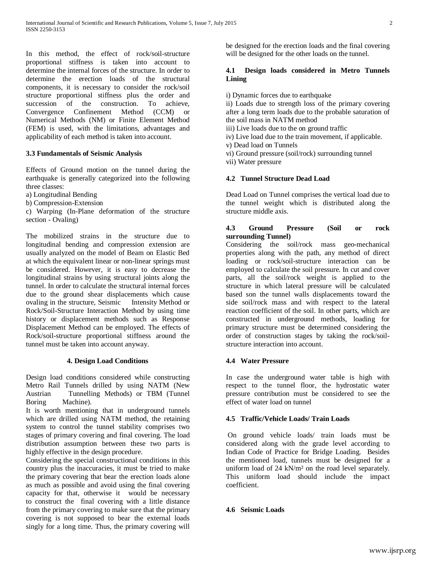In this method, the effect of rock/soil-structure proportional stiffness is taken into account to determine the internal forces of the structure. In order to determine the erection loads of the structural components, it is necessary to consider the rock/soil structure proportional stiffness plus the order and succession of the construction. To achieve, Convergence Confinement Method (CCM) or Numerical Methods (NM) or Finite Element Method (FEM) is used, with the limitations, advantages and applicability of each method is taken into account.

## **3.3 Fundamentals of Seismic Analysis**

Effects of Ground motion on the tunnel during the earthquake is generally categorized into the following three classes:

a) Longitudinal Bending

b) Compression-Extension

c) Warping (In-Plane deformation of the structure section - Ovaling)

The mobilized strains in the structure due to longitudinal bending and compression extension are usually analyzed on the model of Beam on Elastic Bed at which the equivalent linear or non-linear springs must be considered. However, it is easy to decrease the longitudinal strains by using structural joints along the tunnel. In order to calculate the structural internal forces due to the ground shear displacements which cause ovaling in the structure, Seismic Intensity Method or Rock/Soil-Structure Interaction Method by using time history or displacement methods such as Response Displacement Method can be employed. The effects of Rock/soil-structure proportional stiffness around the tunnel must be taken into account anyway.

# **4. Design Load Conditions**

Design load conditions considered while constructing Metro Rail Tunnels drilled by using NATM (New Austrian Tunnelling Methods) or TBM (Tunnel Boring Machine).

It is worth mentioning that in underground tunnels which are drilled using NATM method, the retaining system to control the tunnel stability comprises two stages of primary covering and final covering. The load distribution assumption between these two parts is highly effective in the design procedure.

Considering the special constructional conditions in this country plus the inaccuracies, it must be tried to make the primary covering that bear the erection loads alone as much as possible and avoid using the final covering capacity for that, otherwise it would be necessary to construct the final covering with a little distance from the primary covering to make sure that the primary covering is not supposed to bear the external loads singly for a long time. Thus, the primary covering will

be designed for the erection loads and the final covering will be designed for the other loads on the tunnel.

## **4.1 Design loads considered in Metro Tunnels Lining**

i) Dynamic forces due to earthquake

ii) Loads due to strength loss of the primary covering after a long term loads due to the probable saturation of the soil mass in NATM method

iii) Live loads due to the on ground traffic

iv) Live load due to the train movement, if applicable.

v) Dead load on Tunnels

vi) Ground pressure (soil/rock) surrounding tunnel

vii) Water pressure

## **4.2 Tunnel Structure Dead Load**

Dead Load on Tunnel comprises the vertical load due to the tunnel weight which is distributed along the structure middle axis.

## **4.3 Ground Pressure (Soil or rock surrounding Tunnel)**

Considering the soil/rock mass geo-mechanical properties along with the path, any method of direct loading or rock/soil-structure interaction can be employed to calculate the soil pressure. In cut and cover parts, all the soil/rock weight is applied to the structure in which lateral pressure will be calculated based son the tunnel walls displacements toward the side soil/rock mass and with respect to the lateral reaction coefficient of the soil. In other parts, which are constructed in underground methods, loading for primary structure must be determined considering the order of construction stages by taking the rock/soilstructure interaction into account.

# **4.4 Water Pressure**

In case the underground water table is high with respect to the tunnel floor, the hydrostatic water pressure contribution must be considered to see the effect of water load on tunnel

# **4.5 Traffic/Vehicle Loads/ Train Loads**

On ground vehicle loads/ train loads must be considered along with the grade level according to Indian Code of Practice for Bridge Loading. Besides the mentioned load, tunnels must be designed for a uniform load of 24 kN/m² on the road level separately. This uniform load should include the impact coefficient.

# **4.6 Seismic Loads**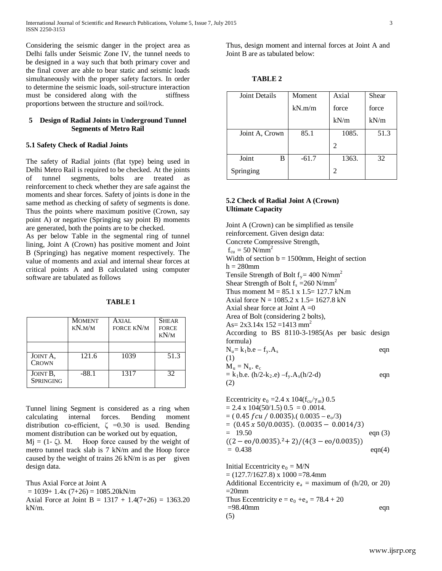Considering the seismic danger in the project area as Delhi falls under Seismic Zone IV, the tunnel needs to be designed in a way such that both primary cover and the final cover are able to bear static and seismic loads simultaneously with the proper safety factors. In order to determine the seismic loads, soil-structure interaction must be considered along with the stiffness proportions between the structure and soil/rock.

#### **5 Design of Radial Joints in Underground Tunnel Segments of Metro Rail**

## **5.1 Safety Check of Radial Joints**

The safety of Radial joints (flat type) being used in Delhi Metro Rail is required to be checked. At the joints of tunnel segments, bolts are treated as reinforcement to check whether they are safe against the moments and shear forces. Safety of joints is done in the same method as checking of safety of segments is done. Thus the points where maximum positive (Crown, say point A) or negative (Springing say point B) moments are generated, both the points are to be checked.

As per below Table in the segmental ring of tunnel lining, Joint A (Crown) has positive moment and Joint B (Springing) has negative moment respectively. The value of moments and axial and internal shear forces at critical points A and B calculated using computer software are tabulated as follows

| $\blacksquare$<br>W. |  |
|----------------------|--|
|----------------------|--|

|                              | <b>MOMENT</b><br>KN.M/M | AXIAL<br>FORCE KN/M | <b>SHEAR</b><br><b>FORCE</b><br>KN/M |
|------------------------------|-------------------------|---------------------|--------------------------------------|
| JOINT A.<br><b>CROWN</b>     | 121.6                   | 1039                | 51.3                                 |
| JOINT B,<br><b>SPRINGING</b> | $-88.1$                 | 1317                | 32                                   |

Tunnel lining Segment is considered as a ring when calculating internal forces. Bending moment distribution co-efficient,  $\zeta = 0.30$  is used. Bending moment distribution can be worked out by equation,  $Mj = (1 - \zeta)$ . M. Hoop force caused by the weight of metro tunnel track slab is 7 kN/m and the Hoop force caused by the weight of trains 26 kN/m is as per given design data.

Thus Axial Force at Joint A

 $= 1039+ 1.4x (7+26) = 1085.20kN/m$ 

Axial Force at Joint B =  $1317 + 1.4(7+26) = 1363.20$ kN/m.

Thus, design moment and internal forces at Joint A and Joint B are as tabulated below:

| H |
|---|
|---|

| Joint Details  | Moment  | Axial | Shear |  |
|----------------|---------|-------|-------|--|
|                | kN.m/m  | force | force |  |
|                |         | kN/m  | kN/m  |  |
| Joint A, Crown | 85.1    | 1085. | 51.3  |  |
|                |         | 2     |       |  |
| Joint<br>B     | $-61.7$ | 1363. | 32    |  |
| Springing      |         | 2     |       |  |

# **5.2 Check of Radial Joint A (Crown) Ultimate Capacity**

Joint A (Crown) can be simplified as tensile reinforcement. Given design data: Concrete Compressive Strength,  $f_{\text{cu}} = 50 \text{ N/mm}^2$ Width of section  $b = 1500$ mm, Height of section  $h = 280$ mm Tensile Strength of Bolt  $f_v = 400$  N/mm<sup>2</sup> Shear Strength of Bolt  $f_s = 260$  N/mm<sup>2</sup> Thus moment  $M = 85.1 \times 1.5 = 127.7 \text{ kN.m}$ Axial force  $N = 1085.2$  x 1.5= 1627.8 kN Axial shear force at Joint  $A = 0$ Area of Bolt (considering 2 bolts), As=  $2x3.14x$  152 = 1413 mm<sup>2</sup> According to BS 8110-3-1985(As per basic design formula)  $N_{\rm u} = k_1 b.e - f_{\rm v}.A_{\rm s}$  eqn (1)  $M_u = N_u$ .  $e_c$  $= k_1 b.e.$  (h/2-k<sub>2</sub>.e) –f<sub>y</sub>.A<sub>s</sub>(h/2-d) eqn (2) Eccentricity e<sub>0</sub> = 2.4 x 104( $f_{cu}/\gamma_m$ ) 0.5

 $= 2.4 \times 104(50/1.5) 0.5 = 0.0014.$  $= (0.45$  f cu / 0.0035).( 0.0035 – e<sub>o</sub>/3)  $= (0.45 \times 50/0.0035)$ .  $(0.0035 - 0.0014/3)$  $= 19.50$  eqn (3)  $((2 - \text{eo}/0.0035).^{2} + 2)/(4(3 - \text{eo}/0.0035))$  $= 0.438$  eqn(4)

Initial Eccentricity  $e_0 = M/N$  $=(127.7/1627.8) \times 1000 = 78.4$ mm Additional Eccentricity  $e_a$  = maximum of (h/20, or 20)  $=20$ mm Thus Eccentricity  $e = e_0 + e_a = 78.4 + 20$  $=98.40$ mm eqn (5)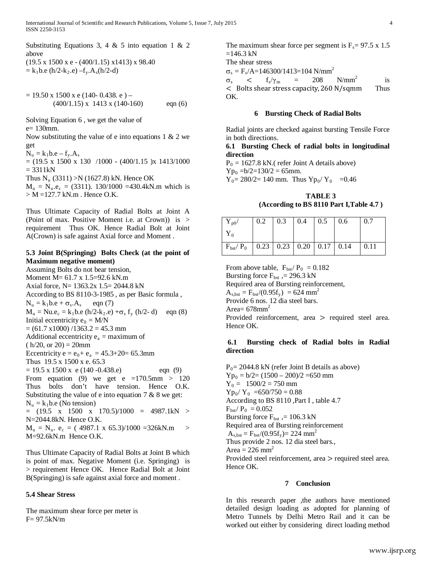Substituting Equations 3, 4 & 5 into equation 1 & 2 above  $(19.5 \times 1500 \times e - (400/1.15) \times 1413) \times 98.40$  $=$  k<sub>1</sub>b.e (h/2-k<sub>2</sub>.e) –f<sub>y</sub>.A<sub>s</sub>(h/2-d)

 $= 19.50$  x 1500 x e (140- 0.438. e) –  $(400/1.15)$  x 1413 x  $(140-160)$  eqn  $(6)$ 

Solving Equation 6 , we get the value of e= 130mm.

Now substituting the value of e into equations  $1 \& 2$  we get

```
N_u = k_1b.e - f_v.A_s
```
 $= (19.5 \times 1500 \times 130) / 1000 - (400/1.15) \times 1413/1000$  $= 3311kN$ 

Thus  $N_u$  (3311) >N (1627.8) kN. Hence OK

 $M_u = N_u.e_c = (3311)$ . 130/1000 =430.4kN.m which is  $> M = 127.7$  kN.m. Hence O.K.

Thus Ultimate Capacity of Radial Bolts at Joint A (Point of max. Positive Moment i.e. at Crown)) is > requirement Thus OK. Hence Radial Bolt at Joint A(Crown) is safe against Axial force and Moment .

## **5.3 Joint B(Springing) Bolts Check (at the point of Maximum negative moment)**

Assuming Bolts do not bear tension, Moment M= 61.7 x 1.5=92.6 kN.m Axial force, N= 1363.2x 1.5= 2044.8 kN According to BS 8110-3-1985 , as per Basic formula ,  $N_u = k_1b.e + \sigma_s.A_s$  eqn (7)  $M_u = Nu.e_c = k_1b.e (h/2-k_2.e) + \sigma_s f_v (h/2-d)$  eqn (8) Initial eccentricity  $e_0 = M/N$  $= (61.7 \times 1000) / 1363.2 = 45.3 \text{ mm}$ Additional eccentricity  $e_a$  = maximum of  $(h/20, or 20) = 20$ mm Eccentricity  $e = e_0 + e_a = 45.3 + 20 = 65.3$ mm Thus 19.5 x 1500 x e. 65.3  $= 19.5 \times 1500 \times e (140 - 0.438.e)$  eqn (9) From equation (9) we get e =170.5mm > 120 Thus bolts don't have tension. Hence O.K. Substituting the value of e into equation  $7 & 8$  we get:  $N<sub>u</sub> = k<sub>1</sub> b.e$  (No tension)  $=$  (19.5 x 1500 x 170.5)/1000 = 4987.1kN > N=2044.8kN. Hence O.K.  $M_u = N_u$ .  $e_c = (4987.1 \times 65.3)/1000 = 326$ kN.m > M=92.6kN.m Hence O.K.

Thus Ultimate Capacity of Radial Bolts at Joint B which is point of max. Negative Moment (i.e. Springing) is > requirement Hence OK. Hence Radial Bolt at Joint B(Springing) is safe against axial force and moment .

# **5.4 Shear Stress**

The maximum shear force per meter is F= 97.5kN/m

The maximum shear force per segment is  $F_s = 97.5 \times 1.5$  $=146.3$  kN The shear stress  $\sigma_s = F_s/A = 146300/1413 = 104$  N/mm<sup>2</sup>  $\sigma_{\rm s}$  <  $\rm f_{\rm s}/\gamma_{\rm m}$  = 208 N/mm<sup>2</sup> is < Bolts shear stress capacity,260 N/sqmm Thus OK.

**6 Bursting Check of Radial Bolts**

Radial joints are checked against bursting Tensile Force in both directions.

#### **6.1 Bursting Check of radial bolts in longitudinal direction**

 $P_0 = 1627.8$  kN.( refer Joint A details above)  $Yp_0 = b/2 = 130/2 = 65$ mm.

 $Y_0 = 280/2 = 140$  mm. Thus  $Yp_0/Y_0 = 0.46$ 

**TABLE 3 (According to BS 8110 Part I,Table 4.7 )**

| $Y_{p0}/$                                                      | $\begin{array}{ c c c c c c c c c } \hline 0.2 & 0.3 & 0.4 & 0.5 & 0.6 \hline \end{array}$ |  | $\vert 0.7$ |
|----------------------------------------------------------------|--------------------------------------------------------------------------------------------|--|-------------|
|                                                                |                                                                                            |  |             |
| $F_{\text{bst}}/P_0$   0.23   0.23   0.20   0.17   0.14   0.11 |                                                                                            |  |             |

From above table,  $F_{\text{bst}}/P_0 = 0.182$ Bursting force  $F_{\text{bst}}$ , = 296.3 kN Required area of Bursting reinforcement,  $A_{s,bst} = F_{bst}/(0.95f_y) = 624$  mm<sup>2</sup> Provide 6 nos. 12 dia steel bars. Area=  $678$ mm<sup>2</sup> Provided reinforcement, area > required steel area. Hence OK.

# **6.1 Bursting check of Radial bolts in Radial direction**

 $P_0$  = 2044.8 kN (refer Joint B details as above)  $Yp_0 = b/2 = (1500 - 200)/2 = 650$  mm  $Y_0 = 1500/2 = 750$  mm  $Yp_0/Y_0 = 650/750 = 0.88$ According to BS 8110 ,Part I , table 4.7  $F_{\rm{bst}}/P_0 = 0.052$ Bursting force  $F_{\text{bst}}$ , = 106.3 kN Required area of Bursting reinforcement  $A_{\rm s,bst} = F_{\rm bst}/(0.95f_{\rm v}) = 224$  mm<sup>2</sup> Thus provide 2 nos. 12 dia steel bars., Area =  $226$  mm<sup>2</sup> Provided steel reinforcement, area > required steel area. Hence OK.

#### **7 Conclusion**

In this research paper ,the authors have mentioned detailed design loading as adopted for planning of Metro Tunnels by Delhi Metro Rail and it can be worked out either by considering direct loading method